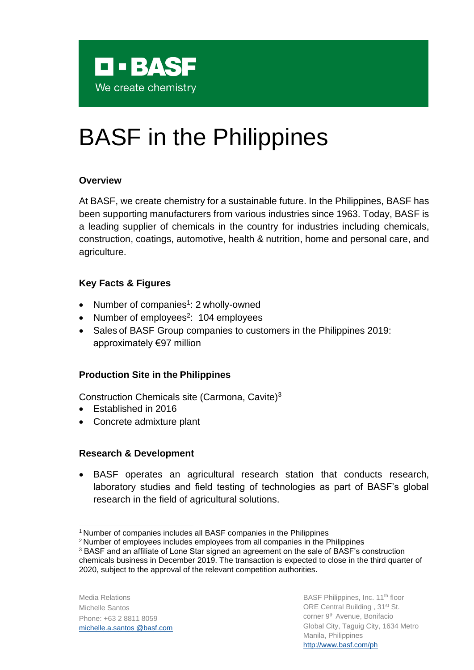

# BASF in the Philippines

### **Overview**

At BASF, we create chemistry for a sustainable future. In the Philippines, BASF has been supporting manufacturers from various industries since 1963. Today, BASF is a leading supplier of chemicals in the country for industries including chemicals, construction, coatings, automotive, health & nutrition, home and personal care, and agriculture.

# **Key Facts & Figures**

- Number of companies<sup>[1](#page-0-0)</sup>: 2 wholly-owned
- Number of employees<sup>[2](#page-0-1)</sup>: 104 employees
- Sales [o](#page-0-2)f BASF Group companies to customers in the Philippines 2019: approximately €97 million

# **Production Site in the Philippines**

Construction Chemicals site (Carmona, Cavite)[3](#page-0-0)

- Established in 2016
- Concrete admixture plant

# **Research & Development**

• BASF operates an agricultural research station that conducts research, laboratory studies and field testing of technologies as part of BASF's global research in the field of agricultural solutions.

<sup>3</sup> BASF and an affiliate of Lone Star signed an agreement on the sale of BASF's construction

Media Relations Michelle Santos Phone: +63 2 8811 8059 [michelle.a.santos @basf.com](mailto:michelle.a.santos@basf.com)

<span id="page-0-2"></span><span id="page-0-0"></span><sup>&</sup>lt;sup>1</sup> Number of companies includes all BASF companies in the Philippines

<span id="page-0-1"></span><sup>&</sup>lt;sup>2</sup> Number of employees includes employees from all companies in the Philippines

chemicals business in December 2019. The transaction is expected to close in the third quarter of 2020, subject to the approval of the relevant competition authorities.